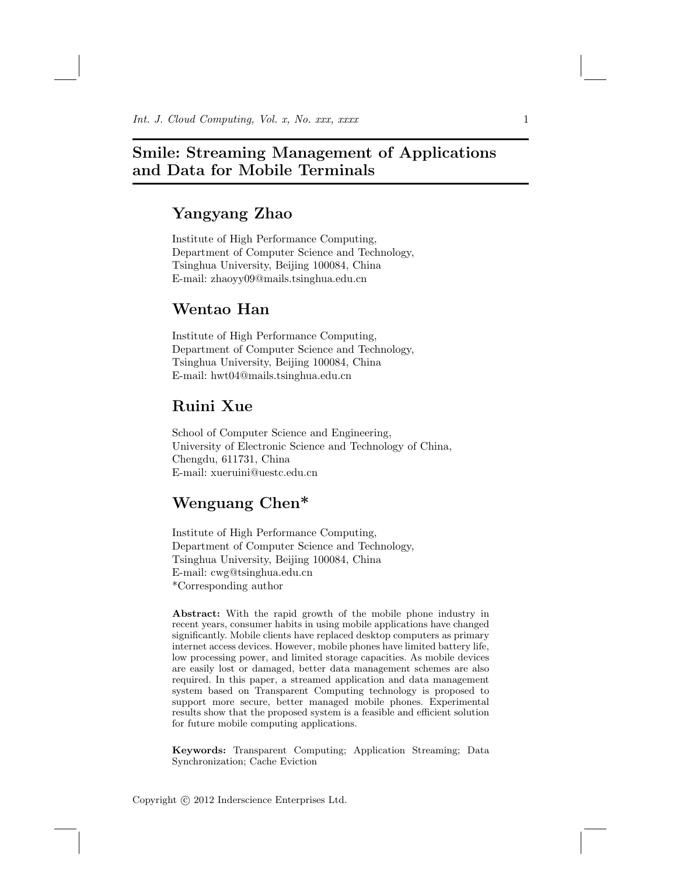# Smile: Streaming Management of Applications and Data for Mobile Terminals

## Yangyang Zhao

Institute of High Performance Computing, Department of Computer Science and Technology, Tsinghua University, Beijing 100084, China E-mail: zhaoyy09@mails.tsinghua.edu.cn

## Wentao Han

Institute of High Performance Computing, Department of Computer Science and Technology, Tsinghua University, Beijing 100084, China E-mail: hwt04@mails.tsinghua.edu.cn

## Ruini Xue

School of Computer Science and Engineering, University of Electronic Science and Technology of China, Chengdu, 611731, China E-mail: xueruini@uestc.edu.cn

# Wenguang Chen\*

Institute of High Performance Computing, Department of Computer Science and Technology, Tsinghua University, Beijing 100084, China E-mail: cwg@tsinghua.edu.cn \*Corresponding author

Abstract: With the rapid growth of the mobile phone industry in recent years, consumer habits in using mobile applications have changed significantly. Mobile clients have replaced desktop computers as primary internet access devices. However, mobile phones have limited battery life, low processing power, and limited storage capacities. As mobile devices are easily lost or damaged, better data management schemes are also required. In this paper, a streamed application and data management system based on Transparent Computing technology is proposed to support more secure, better managed mobile phones. Experimental results show that the proposed system is a feasible and efficient solution for future mobile computing applications.

Keywords: Transparent Computing; Application Streaming; Data Synchronization; Cache Eviction

Copyright (c) 2012 Inderscience Enterprises Ltd.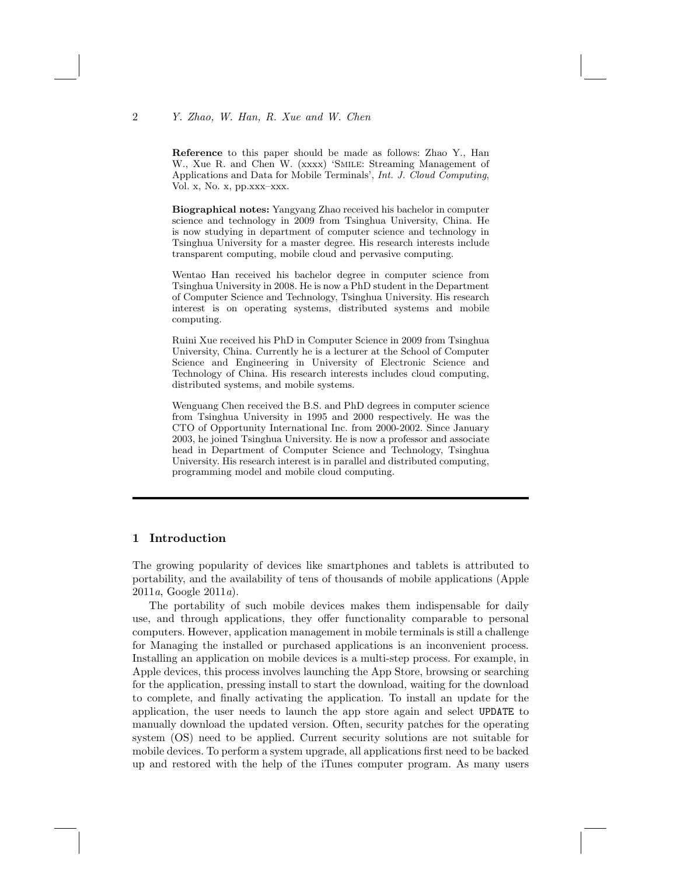Reference to this paper should be made as follows: Zhao Y., Han W., Xue R. and Chen W. (xxxx) 'Smile: Streaming Management of Applications and Data for Mobile Terminals', Int. J. Cloud Computing, Vol. x, No. x, pp.xxx–xxx.

Biographical notes: Yangyang Zhao received his bachelor in computer science and technology in 2009 from Tsinghua University, China. He is now studying in department of computer science and technology in Tsinghua University for a master degree. His research interests include transparent computing, mobile cloud and pervasive computing.

Wentao Han received his bachelor degree in computer science from Tsinghua University in 2008. He is now a PhD student in the Department of Computer Science and Technology, Tsinghua University. His research interest is on operating systems, distributed systems and mobile computing.

Ruini Xue received his PhD in Computer Science in 2009 from Tsinghua University, China. Currently he is a lecturer at the School of Computer Science and Engineering in University of Electronic Science and Technology of China. His research interests includes cloud computing, distributed systems, and mobile systems.

Wenguang Chen received the B.S. and PhD degrees in computer science from Tsinghua University in 1995 and 2000 respectively. He was the CTO of Opportunity International Inc. from 2000-2002. Since January 2003, he joined Tsinghua University. He is now a professor and associate head in Department of Computer Science and Technology, Tsinghua University. His research interest is in parallel and distributed computing, programming model and mobile cloud computing.

### 1 Introduction

The growing popularity of devices like smartphones and tablets is attributed to portability, and the availability of tens of thousands of mobile applications (Apple  $2011a$ , Google  $2011a$ ).

The portability of such mobile devices makes them indispensable for daily use, and through applications, they offer functionality comparable to personal computers. However, application management in mobile terminals is still a challenge for Managing the installed or purchased applications is an inconvenient process. Installing an application on mobile devices is a multi-step process. For example, in Apple devices, this process involves launching the App Store, browsing or searching for the application, pressing install to start the download, waiting for the download to complete, and finally activating the application. To install an update for the application, the user needs to launch the app store again and select UPDATE to manually download the updated version. Often, security patches for the operating system (OS) need to be applied. Current security solutions are not suitable for mobile devices. To perform a system upgrade, all applications first need to be backed up and restored with the help of the iTunes computer program. As many users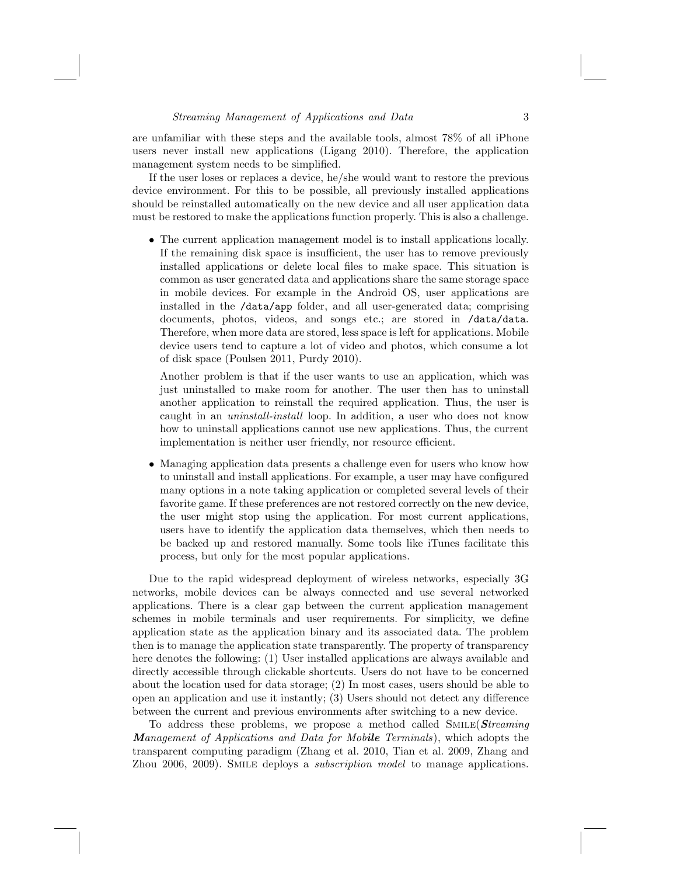are unfamiliar with these steps and the available tools, almost 78% of all iPhone users never install new applications (Ligang 2010). Therefore, the application management system needs to be simplified.

If the user loses or replaces a device, he/she would want to restore the previous device environment. For this to be possible, all previously installed applications should be reinstalled automatically on the new device and all user application data must be restored to make the applications function properly. This is also a challenge.

• The current application management model is to install applications locally. If the remaining disk space is insufficient, the user has to remove previously installed applications or delete local files to make space. This situation is common as user generated data and applications share the same storage space in mobile devices. For example in the Android OS, user applications are installed in the /data/app folder, and all user-generated data; comprising documents, photos, videos, and songs etc.; are stored in /data/data. Therefore, when more data are stored, less space is left for applications. Mobile device users tend to capture a lot of video and photos, which consume a lot of disk space (Poulsen 2011, Purdy 2010).

Another problem is that if the user wants to use an application, which was just uninstalled to make room for another. The user then has to uninstall another application to reinstall the required application. Thus, the user is caught in an uninstall-install loop. In addition, a user who does not know how to uninstall applications cannot use new applications. Thus, the current implementation is neither user friendly, nor resource efficient.

• Managing application data presents a challenge even for users who know how to uninstall and install applications. For example, a user may have configured many options in a note taking application or completed several levels of their favorite game. If these preferences are not restored correctly on the new device, the user might stop using the application. For most current applications, users have to identify the application data themselves, which then needs to be backed up and restored manually. Some tools like iTunes facilitate this process, but only for the most popular applications.

Due to the rapid widespread deployment of wireless networks, especially 3G networks, mobile devices can be always connected and use several networked applications. There is a clear gap between the current application management schemes in mobile terminals and user requirements. For simplicity, we define application state as the application binary and its associated data. The problem then is to manage the application state transparently. The property of transparency here denotes the following: (1) User installed applications are always available and directly accessible through clickable shortcuts. Users do not have to be concerned about the location used for data storage; (2) In most cases, users should be able to open an application and use it instantly; (3) Users should not detect any difference between the current and previous environments after switching to a new device.

To address these problems, we propose a method called  $SMILE(Streaming)$ **Management** of Applications and Data for Mobile Terminals), which adopts the transparent computing paradigm (Zhang et al. 2010, Tian et al. 2009, Zhang and Zhou 2006, 2009). SMILE deploys a *subscription model* to manage applications.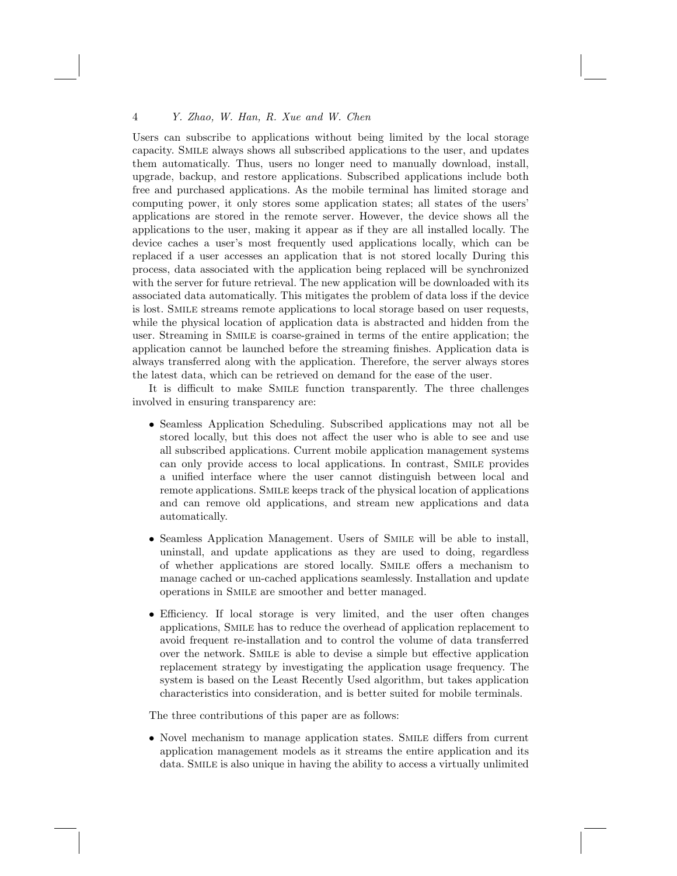Users can subscribe to applications without being limited by the local storage capacity. Smile always shows all subscribed applications to the user, and updates them automatically. Thus, users no longer need to manually download, install, upgrade, backup, and restore applications. Subscribed applications include both free and purchased applications. As the mobile terminal has limited storage and computing power, it only stores some application states; all states of the users' applications are stored in the remote server. However, the device shows all the applications to the user, making it appear as if they are all installed locally. The device caches a user's most frequently used applications locally, which can be replaced if a user accesses an application that is not stored locally During this process, data associated with the application being replaced will be synchronized with the server for future retrieval. The new application will be downloaded with its associated data automatically. This mitigates the problem of data loss if the device is lost. Smile streams remote applications to local storage based on user requests, while the physical location of application data is abstracted and hidden from the user. Streaming in Smile is coarse-grained in terms of the entire application; the application cannot be launched before the streaming finishes. Application data is always transferred along with the application. Therefore, the server always stores the latest data, which can be retrieved on demand for the ease of the user.

It is difficult to make Smile function transparently. The three challenges involved in ensuring transparency are:

- Seamless Application Scheduling. Subscribed applications may not all be stored locally, but this does not affect the user who is able to see and use all subscribed applications. Current mobile application management systems can only provide access to local applications. In contrast, Smile provides a unified interface where the user cannot distinguish between local and remote applications. Smile keeps track of the physical location of applications and can remove old applications, and stream new applications and data automatically.
- Seamless Application Management. Users of SMILE will be able to install, uninstall, and update applications as they are used to doing, regardless of whether applications are stored locally. Smile offers a mechanism to manage cached or un-cached applications seamlessly. Installation and update operations in Smile are smoother and better managed.
- Efficiency. If local storage is very limited, and the user often changes applications, Smile has to reduce the overhead of application replacement to avoid frequent re-installation and to control the volume of data transferred over the network. Smile is able to devise a simple but effective application replacement strategy by investigating the application usage frequency. The system is based on the Least Recently Used algorithm, but takes application characteristics into consideration, and is better suited for mobile terminals.

The three contributions of this paper are as follows:

• Novel mechanism to manage application states. Smile differs from current application management models as it streams the entire application and its data. Smile is also unique in having the ability to access a virtually unlimited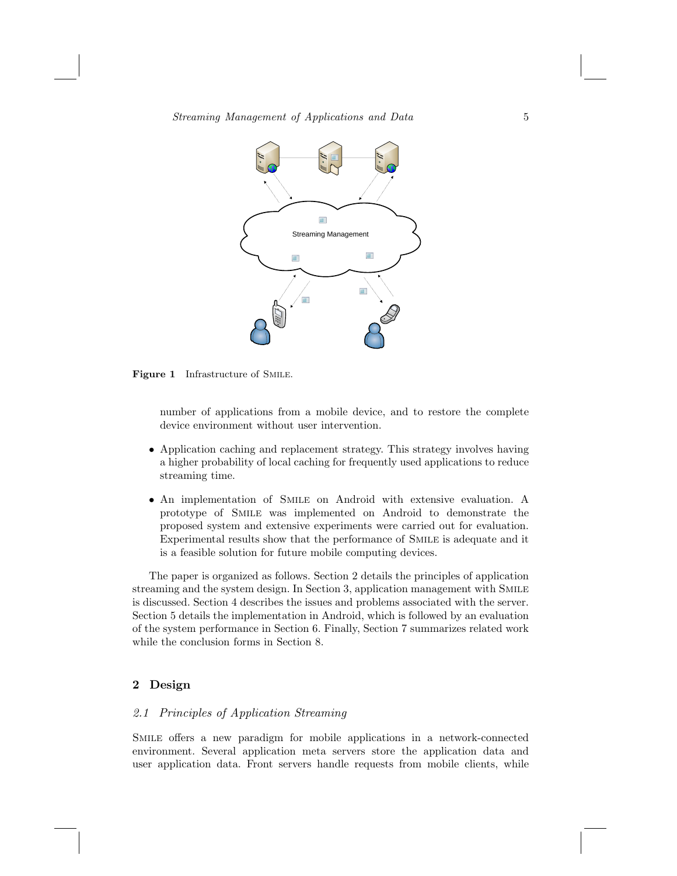

Figure 1 Infrastructure of SMILE.

number of applications from a mobile device, and to restore the complete device environment without user intervention.

- Application caching and replacement strategy. This strategy involves having a higher probability of local caching for frequently used applications to reduce streaming time.
- An implementation of Smile on Android with extensive evaluation. A prototype of Smile was implemented on Android to demonstrate the proposed system and extensive experiments were carried out for evaluation. Experimental results show that the performance of Smile is adequate and it is a feasible solution for future mobile computing devices.

The paper is organized as follows. Section 2 details the principles of application streaming and the system design. In Section 3, application management with Smile is discussed. Section 4 describes the issues and problems associated with the server. Section 5 details the implementation in Android, which is followed by an evaluation of the system performance in Section 6. Finally, Section 7 summarizes related work while the conclusion forms in Section 8.

### 2 Design

### 2.1 Principles of Application Streaming

Smile offers a new paradigm for mobile applications in a network-connected environment. Several application meta servers store the application data and user application data. Front servers handle requests from mobile clients, while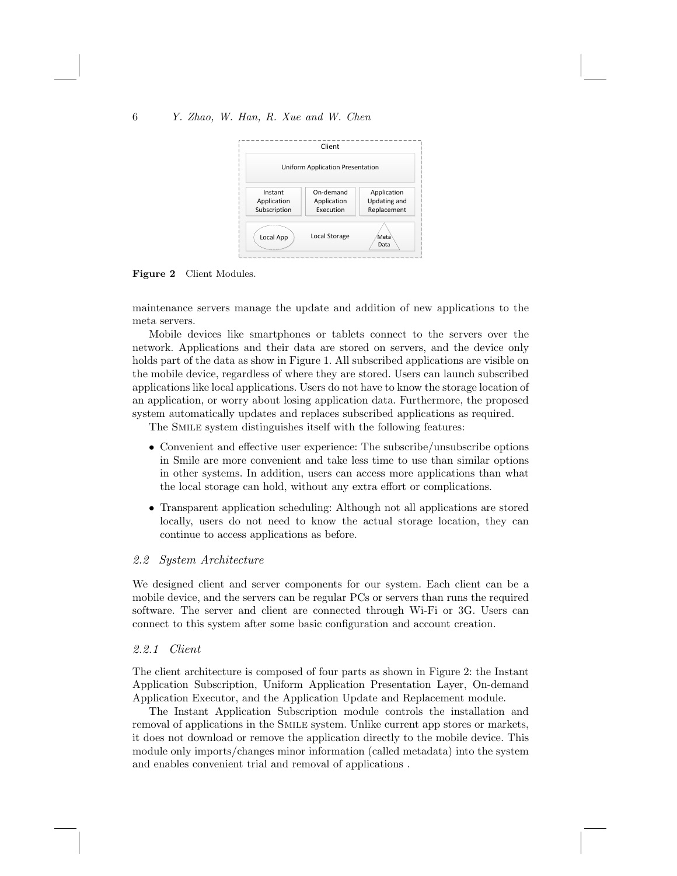

Figure 2 Client Modules.

maintenance servers manage the update and addition of new applications to the meta servers.

Mobile devices like smartphones or tablets connect to the servers over the network. Applications and their data are stored on servers, and the device only holds part of the data as show in Figure 1. All subscribed applications are visible on the mobile device, regardless of where they are stored. Users can launch subscribed applications like local applications. Users do not have to know the storage location of an application, or worry about losing application data. Furthermore, the proposed system automatically updates and replaces subscribed applications as required.

The Smile system distinguishes itself with the following features:

- Convenient and effective user experience: The subscribe/unsubscribe options in Smile are more convenient and take less time to use than similar options in other systems. In addition, users can access more applications than what the local storage can hold, without any extra effort or complications.
- Transparent application scheduling: Although not all applications are stored locally, users do not need to know the actual storage location, they can continue to access applications as before.

#### 2.2 System Architecture

We designed client and server components for our system. Each client can be a mobile device, and the servers can be regular PCs or servers than runs the required software. The server and client are connected through Wi-Fi or 3G. Users can connect to this system after some basic configuration and account creation.

#### 2.2.1 Client

The client architecture is composed of four parts as shown in Figure 2: the Instant Application Subscription, Uniform Application Presentation Layer, On-demand Application Executor, and the Application Update and Replacement module.

The Instant Application Subscription module controls the installation and removal of applications in the Smile system. Unlike current app stores or markets, it does not download or remove the application directly to the mobile device. This module only imports/changes minor information (called metadata) into the system and enables convenient trial and removal of applications .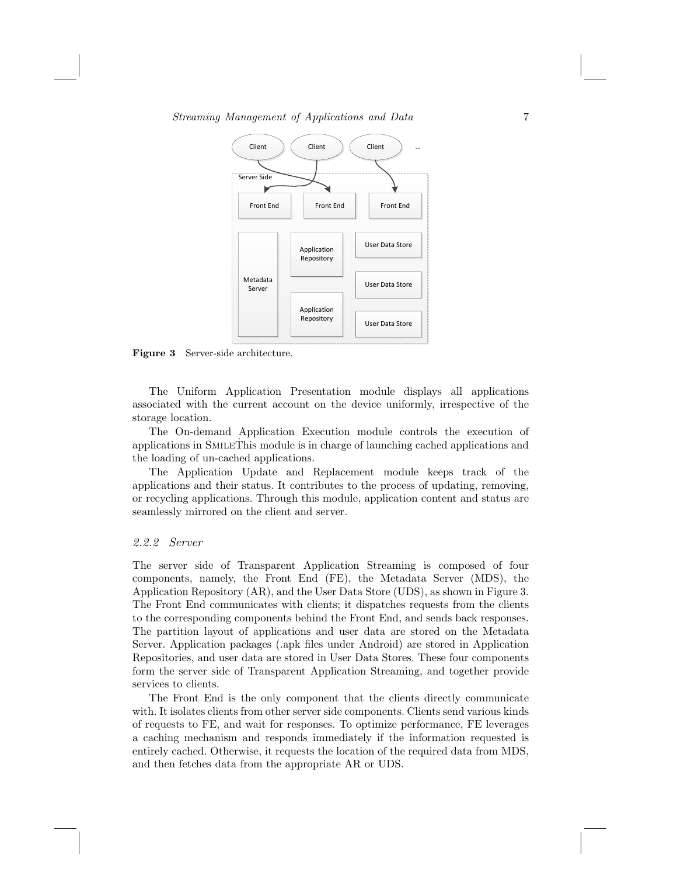

Figure 3 Server-side architecture.

The Uniform Application Presentation module displays all applications associated with the current account on the device uniformly, irrespective of the storage location.

The On-demand Application Execution module controls the execution of applications in SMILEThis module is in charge of launching cached applications and the loading of un-cached applications.

The Application Update and Replacement module keeps track of the applications and their status. It contributes to the process of updating, removing, or recycling applications. Through this module, application content and status are seamlessly mirrored on the client and server.

### 2.2.2 Server

The server side of Transparent Application Streaming is composed of four components, namely, the Front End (FE), the Metadata Server (MDS), the Application Repository (AR), and the User Data Store (UDS), as shown in Figure 3. The Front End communicates with clients; it dispatches requests from the clients to the corresponding components behind the Front End, and sends back responses. The partition layout of applications and user data are stored on the Metadata Server. Application packages (.apk files under Android) are stored in Application Repositories, and user data are stored in User Data Stores. These four components form the server side of Transparent Application Streaming, and together provide services to clients.

The Front End is the only component that the clients directly communicate with. It isolates clients from other server side components. Clients send various kinds of requests to FE, and wait for responses. To optimize performance, FE leverages a caching mechanism and responds immediately if the information requested is entirely cached. Otherwise, it requests the location of the required data from MDS, and then fetches data from the appropriate AR or UDS.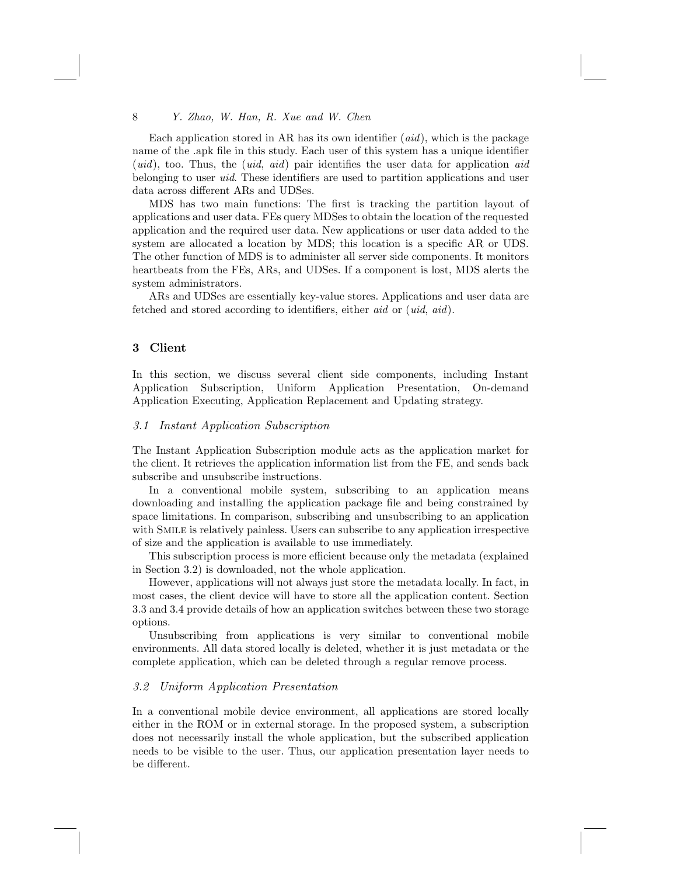Each application stored in AR has its own identifier  $(\textit{aid})$ , which is the package name of the .apk file in this study. Each user of this system has a unique identifier  $(uid)$ , too. Thus, the  $(uid, aid)$  pair identifies the user data for application  $aid$ belonging to user *uid*. These identifiers are used to partition applications and user data across different ARs and UDSes.

MDS has two main functions: The first is tracking the partition layout of applications and user data. FEs query MDSes to obtain the location of the requested application and the required user data. New applications or user data added to the system are allocated a location by MDS; this location is a specific AR or UDS. The other function of MDS is to administer all server side components. It monitors heartbeats from the FEs, ARs, and UDSes. If a component is lost, MDS alerts the system administrators.

ARs and UDSes are essentially key-value stores. Applications and user data are fetched and stored according to identifiers, either *aid* or (*uid, aid*).

### 3 Client

In this section, we discuss several client side components, including Instant Application Subscription, Uniform Application Presentation, On-demand Application Executing, Application Replacement and Updating strategy.

### 3.1 Instant Application Subscription

The Instant Application Subscription module acts as the application market for the client. It retrieves the application information list from the FE, and sends back subscribe and unsubscribe instructions.

In a conventional mobile system, subscribing to an application means downloading and installing the application package file and being constrained by space limitations. In comparison, subscribing and unsubscribing to an application with SMILE is relatively painless. Users can subscribe to any application irrespective of size and the application is available to use immediately.

This subscription process is more efficient because only the metadata (explained in Section 3.2) is downloaded, not the whole application.

However, applications will not always just store the metadata locally. In fact, in most cases, the client device will have to store all the application content. Section 3.3 and 3.4 provide details of how an application switches between these two storage options.

Unsubscribing from applications is very similar to conventional mobile environments. All data stored locally is deleted, whether it is just metadata or the complete application, which can be deleted through a regular remove process.

### 3.2 Uniform Application Presentation

In a conventional mobile device environment, all applications are stored locally either in the ROM or in external storage. In the proposed system, a subscription does not necessarily install the whole application, but the subscribed application needs to be visible to the user. Thus, our application presentation layer needs to be different.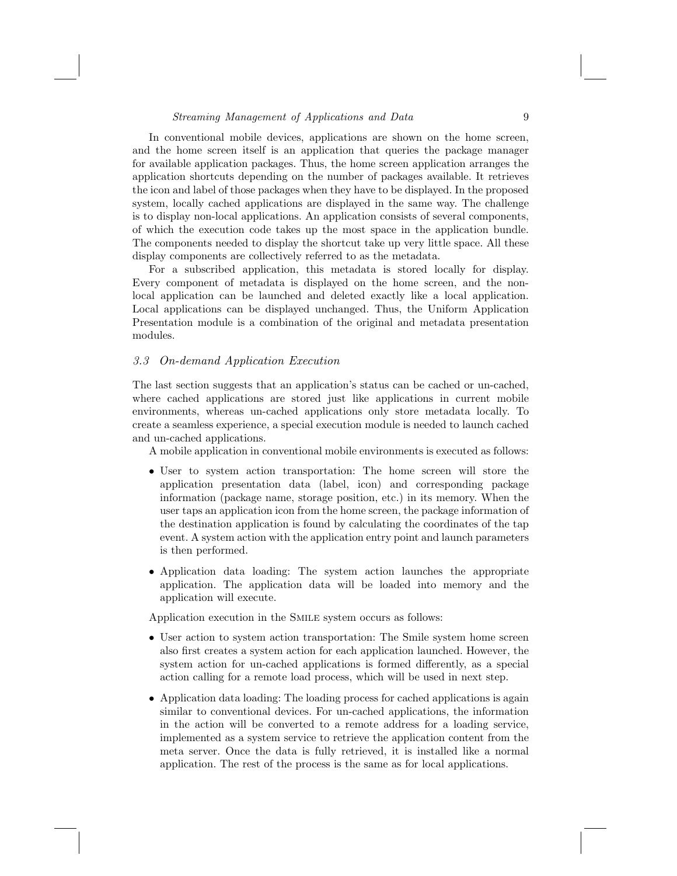In conventional mobile devices, applications are shown on the home screen, and the home screen itself is an application that queries the package manager for available application packages. Thus, the home screen application arranges the application shortcuts depending on the number of packages available. It retrieves the icon and label of those packages when they have to be displayed. In the proposed system, locally cached applications are displayed in the same way. The challenge is to display non-local applications. An application consists of several components, of which the execution code takes up the most space in the application bundle. The components needed to display the shortcut take up very little space. All these display components are collectively referred to as the metadata.

For a subscribed application, this metadata is stored locally for display. Every component of metadata is displayed on the home screen, and the nonlocal application can be launched and deleted exactly like a local application. Local applications can be displayed unchanged. Thus, the Uniform Application Presentation module is a combination of the original and metadata presentation modules.

#### 3.3 On-demand Application Execution

The last section suggests that an application's status can be cached or un-cached, where cached applications are stored just like applications in current mobile environments, whereas un-cached applications only store metadata locally. To create a seamless experience, a special execution module is needed to launch cached and un-cached applications.

A mobile application in conventional mobile environments is executed as follows:

- User to system action transportation: The home screen will store the application presentation data (label, icon) and corresponding package information (package name, storage position, etc.) in its memory. When the user taps an application icon from the home screen, the package information of the destination application is found by calculating the coordinates of the tap event. A system action with the application entry point and launch parameters is then performed.
- Application data loading: The system action launches the appropriate application. The application data will be loaded into memory and the application will execute.

Application execution in the Smile system occurs as follows:

- User action to system action transportation: The Smile system home screen also first creates a system action for each application launched. However, the system action for un-cached applications is formed differently, as a special action calling for a remote load process, which will be used in next step.
- Application data loading: The loading process for cached applications is again similar to conventional devices. For un-cached applications, the information in the action will be converted to a remote address for a loading service, implemented as a system service to retrieve the application content from the meta server. Once the data is fully retrieved, it is installed like a normal application. The rest of the process is the same as for local applications.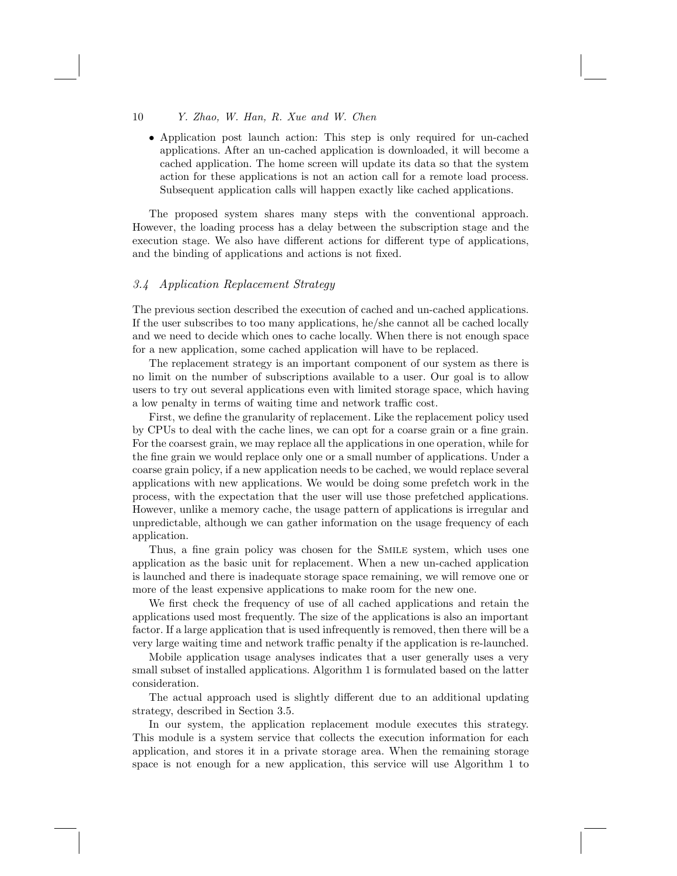• Application post launch action: This step is only required for un-cached applications. After an un-cached application is downloaded, it will become a cached application. The home screen will update its data so that the system action for these applications is not an action call for a remote load process. Subsequent application calls will happen exactly like cached applications.

The proposed system shares many steps with the conventional approach. However, the loading process has a delay between the subscription stage and the execution stage. We also have different actions for different type of applications, and the binding of applications and actions is not fixed.

### 3.4 Application Replacement Strategy

The previous section described the execution of cached and un-cached applications. If the user subscribes to too many applications, he/she cannot all be cached locally and we need to decide which ones to cache locally. When there is not enough space for a new application, some cached application will have to be replaced.

The replacement strategy is an important component of our system as there is no limit on the number of subscriptions available to a user. Our goal is to allow users to try out several applications even with limited storage space, which having a low penalty in terms of waiting time and network traffic cost.

First, we define the granularity of replacement. Like the replacement policy used by CPUs to deal with the cache lines, we can opt for a coarse grain or a fine grain. For the coarsest grain, we may replace all the applications in one operation, while for the fine grain we would replace only one or a small number of applications. Under a coarse grain policy, if a new application needs to be cached, we would replace several applications with new applications. We would be doing some prefetch work in the process, with the expectation that the user will use those prefetched applications. However, unlike a memory cache, the usage pattern of applications is irregular and unpredictable, although we can gather information on the usage frequency of each application.

Thus, a fine grain policy was chosen for the Smile system, which uses one application as the basic unit for replacement. When a new un-cached application is launched and there is inadequate storage space remaining, we will remove one or more of the least expensive applications to make room for the new one.

We first check the frequency of use of all cached applications and retain the applications used most frequently. The size of the applications is also an important factor. If a large application that is used infrequently is removed, then there will be a very large waiting time and network traffic penalty if the application is re-launched.

Mobile application usage analyses indicates that a user generally uses a very small subset of installed applications. Algorithm 1 is formulated based on the latter consideration.

The actual approach used is slightly different due to an additional updating strategy, described in Section 3.5.

In our system, the application replacement module executes this strategy. This module is a system service that collects the execution information for each application, and stores it in a private storage area. When the remaining storage space is not enough for a new application, this service will use Algorithm 1 to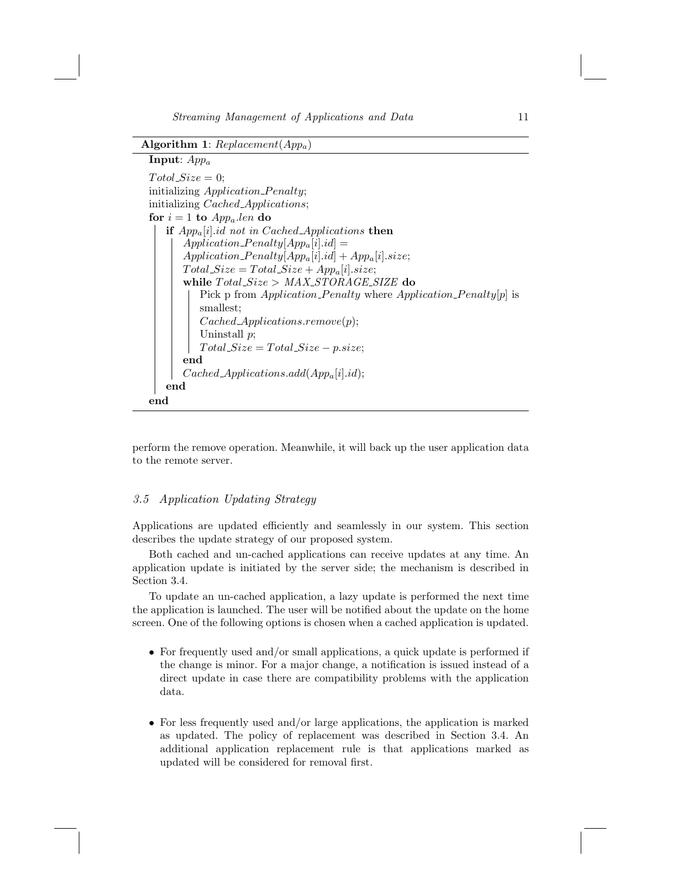### Algorithm 1:  $Replacement (App_a)$

| <b>Input</b> : $Appa$                                              |
|--------------------------------------------------------------------|
| $Total\_Size = 0$ :                                                |
| initializing <i>Application_Penalty</i> ;                          |
| initializing <i>Cached_Applications</i> ;                          |
| for $i = 1$ to $Appa. len$ do                                      |
| <b>if</b> $App_a[i].id$ not in Cached Applications then            |
| $Application\_Penalty[App_a[i].id] =$                              |
| $Application\_Penalty[App_a[i].id] + App_a[i].size;$               |
| $Total\_Size = Total\_Size + App_a[i].size;$                       |
| while $Total\_Size > MAX\_STORAGE\_SIZE$ do                        |
| Pick p from Application_Penalty where Application_Penalty $ p $ is |
| smallest:                                                          |
| $Cacheed\_Applications.remove(p);$                                 |
| Uninstall $p$ :                                                    |
| $Total\_Size = Total\_Size - p.size;$                              |
| end                                                                |
| $Cached\_Applications.add(App_a[i].id);$                           |
| end                                                                |
| end                                                                |

perform the remove operation. Meanwhile, it will back up the user application data to the remote server.

### 3.5 Application Updating Strategy

Applications are updated efficiently and seamlessly in our system. This section describes the update strategy of our proposed system.

Both cached and un-cached applications can receive updates at any time. An application update is initiated by the server side; the mechanism is described in Section 3.4.

To update an un-cached application, a lazy update is performed the next time the application is launched. The user will be notified about the update on the home screen. One of the following options is chosen when a cached application is updated.

- For frequently used and/or small applications, a quick update is performed if the change is minor. For a major change, a notification is issued instead of a direct update in case there are compatibility problems with the application data.
- For less frequently used and/or large applications, the application is marked as updated. The policy of replacement was described in Section 3.4. An additional application replacement rule is that applications marked as updated will be considered for removal first.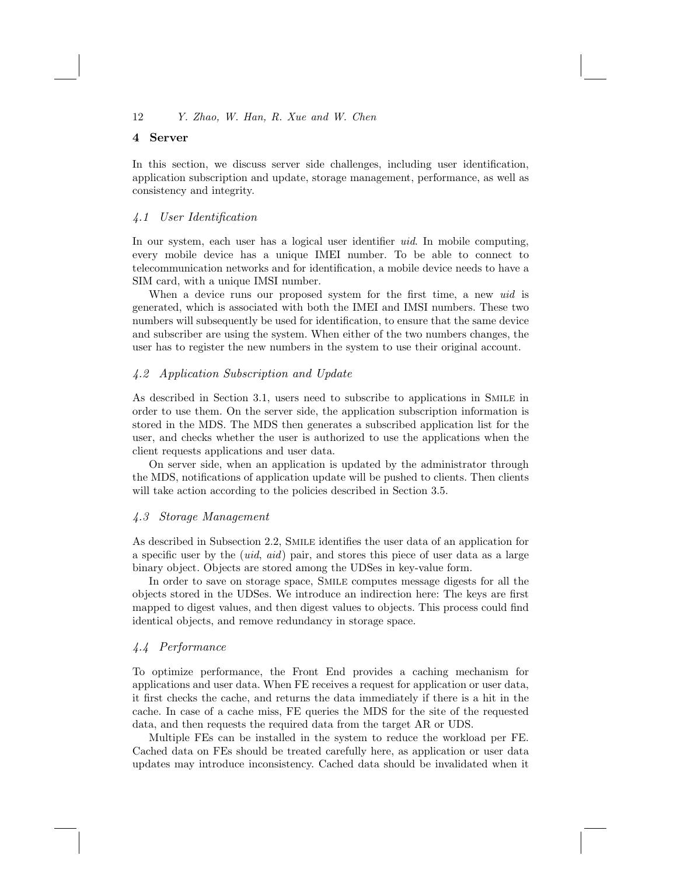### 4 Server

In this section, we discuss server side challenges, including user identification, application subscription and update, storage management, performance, as well as consistency and integrity.

### 4.1 User Identification

In our system, each user has a logical user identifier uid. In mobile computing, every mobile device has a unique IMEI number. To be able to connect to telecommunication networks and for identification, a mobile device needs to have a SIM card, with a unique IMSI number.

When a device runs our proposed system for the first time, a new *uid* is generated, which is associated with both the IMEI and IMSI numbers. These two numbers will subsequently be used for identification, to ensure that the same device and subscriber are using the system. When either of the two numbers changes, the user has to register the new numbers in the system to use their original account.

### 4.2 Application Subscription and Update

As described in Section 3.1, users need to subscribe to applications in Smile in order to use them. On the server side, the application subscription information is stored in the MDS. The MDS then generates a subscribed application list for the user, and checks whether the user is authorized to use the applications when the client requests applications and user data.

On server side, when an application is updated by the administrator through the MDS, notifications of application update will be pushed to clients. Then clients will take action according to the policies described in Section 3.5.

#### 4.3 Storage Management

As described in Subsection 2.2, Smile identifies the user data of an application for a specific user by the (uid, aid) pair, and stores this piece of user data as a large binary object. Objects are stored among the UDSes in key-value form.

In order to save on storage space, Smile computes message digests for all the objects stored in the UDSes. We introduce an indirection here: The keys are first mapped to digest values, and then digest values to objects. This process could find identical objects, and remove redundancy in storage space.

### 4.4 Performance

To optimize performance, the Front End provides a caching mechanism for applications and user data. When FE receives a request for application or user data, it first checks the cache, and returns the data immediately if there is a hit in the cache. In case of a cache miss, FE queries the MDS for the site of the requested data, and then requests the required data from the target AR or UDS.

Multiple FEs can be installed in the system to reduce the workload per FE. Cached data on FEs should be treated carefully here, as application or user data updates may introduce inconsistency. Cached data should be invalidated when it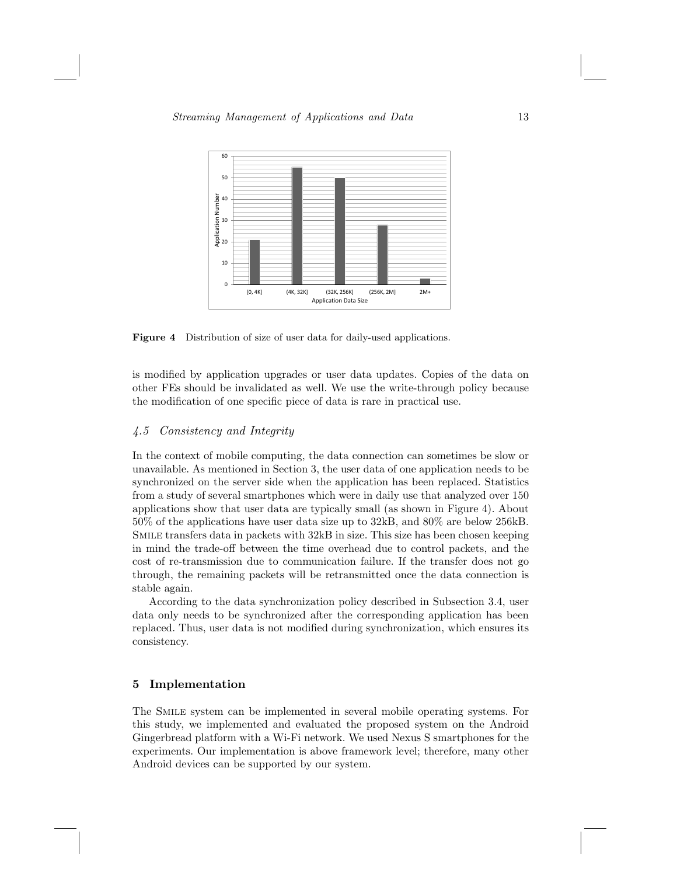

Figure 4 Distribution of size of user data for daily-used applications.

is modified by application upgrades or user data updates. Copies of the data on other FEs should be invalidated as well. We use the write-through policy because the modification of one specific piece of data is rare in practical use.

### 4.5 Consistency and Integrity

In the context of mobile computing, the data connection can sometimes be slow or unavailable. As mentioned in Section 3, the user data of one application needs to be synchronized on the server side when the application has been replaced. Statistics from a study of several smartphones which were in daily use that analyzed over 150 applications show that user data are typically small (as shown in Figure 4). About 50% of the applications have user data size up to 32kB, and 80% are below 256kB. Smile transfers data in packets with 32kB in size. This size has been chosen keeping in mind the trade-off between the time overhead due to control packets, and the cost of re-transmission due to communication failure. If the transfer does not go through, the remaining packets will be retransmitted once the data connection is stable again.

According to the data synchronization policy described in Subsection 3.4, user data only needs to be synchronized after the corresponding application has been replaced. Thus, user data is not modified during synchronization, which ensures its consistency.

### 5 Implementation

The Smile system can be implemented in several mobile operating systems. For this study, we implemented and evaluated the proposed system on the Android Gingerbread platform with a Wi-Fi network. We used Nexus S smartphones for the experiments. Our implementation is above framework level; therefore, many other Android devices can be supported by our system.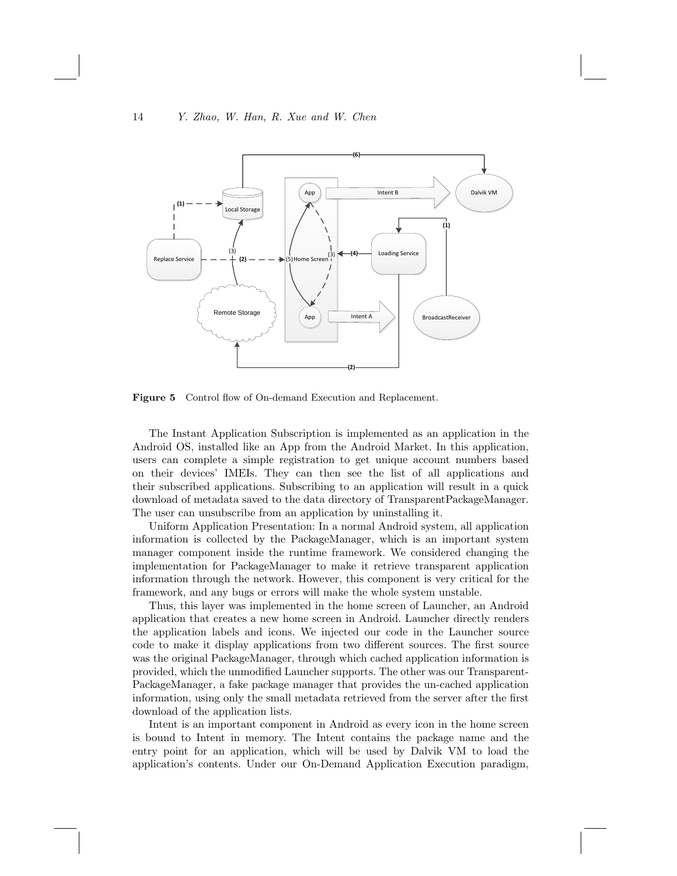

Figure 5 Control flow of On-demand Execution and Replacement.

The Instant Application Subscription is implemented as an application in the Android OS, installed like an App from the Android Market. In this application, users can complete a simple registration to get unique account numbers based on their devices' IMEIs. They can then see the list of all applications and their subscribed applications. Subscribing to an application will result in a quick download of metadata saved to the data directory of TransparentPackageManager. The user can unsubscribe from an application by uninstalling it.

Uniform Application Presentation: In a normal Android system, all application information is collected by the PackageManager, which is an important system manager component inside the runtime framework. We considered changing the implementation for PackageManager to make it retrieve transparent application information through the network. However, this component is very critical for the framework, and any bugs or errors will make the whole system unstable.

Thus, this layer was implemented in the home screen of Launcher, an Android application that creates a new home screen in Android. Launcher directly renders the application labels and icons. We injected our code in the Launcher source code to make it display applications from two different sources. The first source was the original PackageManager, through which cached application information is provided, which the unmodified Launcher supports. The other was our Transparent-PackageManager, a fake package manager that provides the un-cached application information, using only the small metadata retrieved from the server after the first download of the application lists.

Intent is an important component in Android as every icon in the home screen is bound to Intent in memory. The Intent contains the package name and the entry point for an application, which will be used by Dalvik VM to load the application's contents. Under our On-Demand Application Execution paradigm,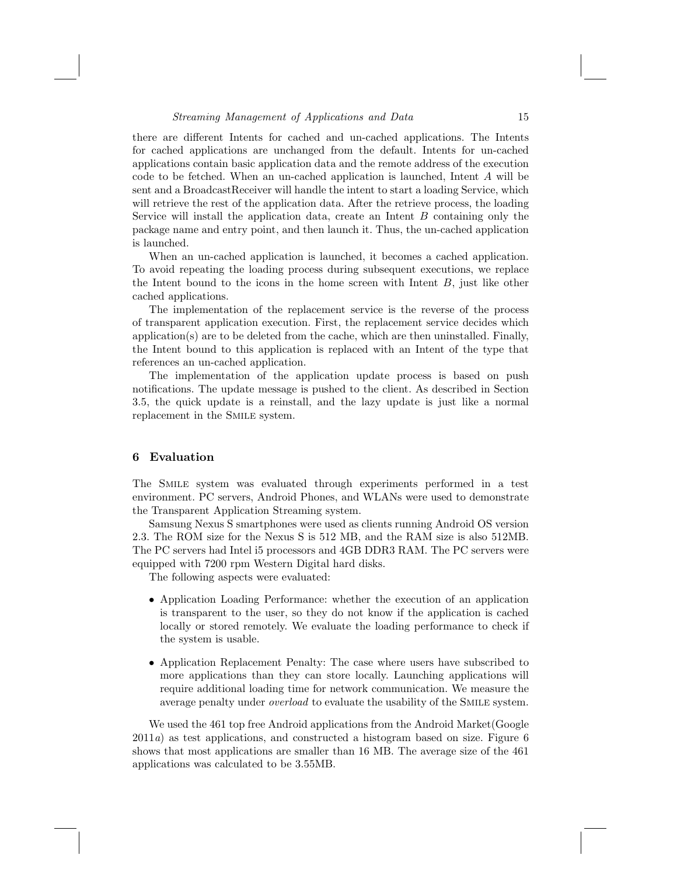there are different Intents for cached and un-cached applications. The Intents for cached applications are unchanged from the default. Intents for un-cached applications contain basic application data and the remote address of the execution code to be fetched. When an un-cached application is launched, Intent A will be sent and a BroadcastReceiver will handle the intent to start a loading Service, which will retrieve the rest of the application data. After the retrieve process, the loading Service will install the application data, create an Intent B containing only the package name and entry point, and then launch it. Thus, the un-cached application is launched.

When an un-cached application is launched, it becomes a cached application. To avoid repeating the loading process during subsequent executions, we replace the Intent bound to the icons in the home screen with Intent B, just like other cached applications.

The implementation of the replacement service is the reverse of the process of transparent application execution. First, the replacement service decides which application(s) are to be deleted from the cache, which are then uninstalled. Finally, the Intent bound to this application is replaced with an Intent of the type that references an un-cached application.

The implementation of the application update process is based on push notifications. The update message is pushed to the client. As described in Section 3.5, the quick update is a reinstall, and the lazy update is just like a normal replacement in the Smile system.

### 6 Evaluation

The Smile system was evaluated through experiments performed in a test environment. PC servers, Android Phones, and WLANs were used to demonstrate the Transparent Application Streaming system.

Samsung Nexus S smartphones were used as clients running Android OS version 2.3. The ROM size for the Nexus S is 512 MB, and the RAM size is also 512MB. The PC servers had Intel i5 processors and 4GB DDR3 RAM. The PC servers were equipped with 7200 rpm Western Digital hard disks.

The following aspects were evaluated:

- Application Loading Performance: whether the execution of an application is transparent to the user, so they do not know if the application is cached locally or stored remotely. We evaluate the loading performance to check if the system is usable.
- Application Replacement Penalty: The case where users have subscribed to more applications than they can store locally. Launching applications will require additional loading time for network communication. We measure the average penalty under overload to evaluate the usability of the Smile system.

We used the 461 top free Android applications from the Android Market(Google  $2011a$ ) as test applications, and constructed a histogram based on size. Figure 6 shows that most applications are smaller than 16 MB. The average size of the 461 applications was calculated to be 3.55MB.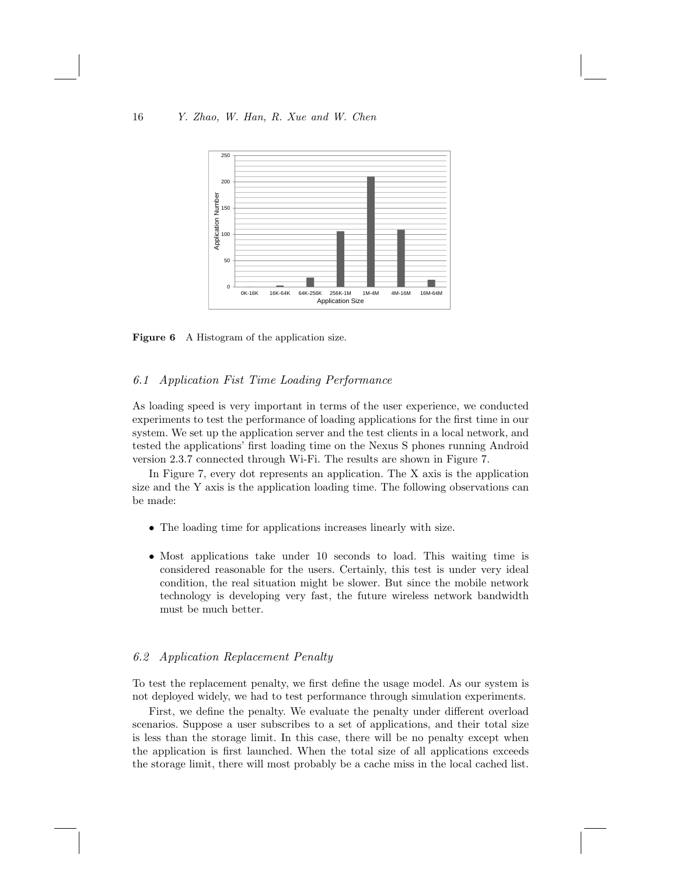

Figure 6 A Histogram of the application size.

### 6.1 Application Fist Time Loading Performance

As loading speed is very important in terms of the user experience, we conducted experiments to test the performance of loading applications for the first time in our system. We set up the application server and the test clients in a local network, and tested the applications' first loading time on the Nexus S phones running Android version 2.3.7 connected through Wi-Fi. The results are shown in Figure 7.

In Figure 7, every dot represents an application. The X axis is the application size and the Y axis is the application loading time. The following observations can be made:

- The loading time for applications increases linearly with size.
- Most applications take under 10 seconds to load. This waiting time is considered reasonable for the users. Certainly, this test is under very ideal condition, the real situation might be slower. But since the mobile network technology is developing very fast, the future wireless network bandwidth must be much better.

### 6.2 Application Replacement Penalty

To test the replacement penalty, we first define the usage model. As our system is not deployed widely, we had to test performance through simulation experiments.

First, we define the penalty. We evaluate the penalty under different overload scenarios. Suppose a user subscribes to a set of applications, and their total size is less than the storage limit. In this case, there will be no penalty except when the application is first launched. When the total size of all applications exceeds the storage limit, there will most probably be a cache miss in the local cached list.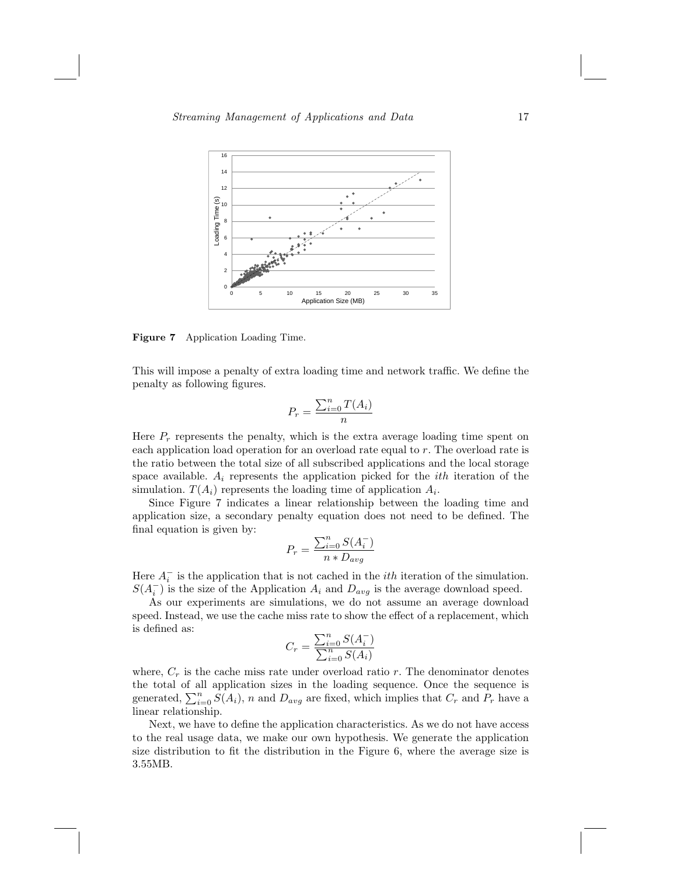

Figure 7 Application Loading Time.

This will impose a penalty of extra loading time and network traffic. We define the penalty as following figures.

$$
P_r = \frac{\sum_{i=0}^{n} T(A_i)}{n}
$$

Here  $P_r$  represents the penalty, which is the extra average loading time spent on each application load operation for an overload rate equal to  $r$ . The overload rate is the ratio between the total size of all subscribed applications and the local storage space available.  $A_i$  represents the application picked for the *ith* iteration of the simulation.  $T(A_i)$  represents the loading time of application  $A_i$ .

Since Figure 7 indicates a linear relationship between the loading time and application size, a secondary penalty equation does not need to be defined. The final equation is given by:

$$
P_r = \frac{\sum_{i=0}^{n} S(A_i^-)}{n * D_{avg}}
$$

Here  $A_i^-$  is the application that is not cached in the *ith* iteration of the simulation.  $S(A_i^-)$  is the size of the Application  $A_i$  and  $D_{avg}$  is the average download speed.

As our experiments are simulations, we do not assume an average download speed. Instead, we use the cache miss rate to show the effect of a replacement, which is defined as:

$$
C_r = \frac{\sum_{i=0}^{n} S(A_i^-)}{\sum_{i=0}^{n} S(A_i)}
$$

where,  $C_r$  is the cache miss rate under overload ratio r. The denominator denotes the total of all application sizes in the loading sequence. Once the sequence is generated,  $\sum_{i=0}^{n} S(A_i)$ , n and  $D_{avg}$  are fixed, which implies that  $C_r$  and  $P_r$  have a linear relationship.

Next, we have to define the application characteristics. As we do not have access to the real usage data, we make our own hypothesis. We generate the application size distribution to fit the distribution in the Figure 6, where the average size is 3.55MB.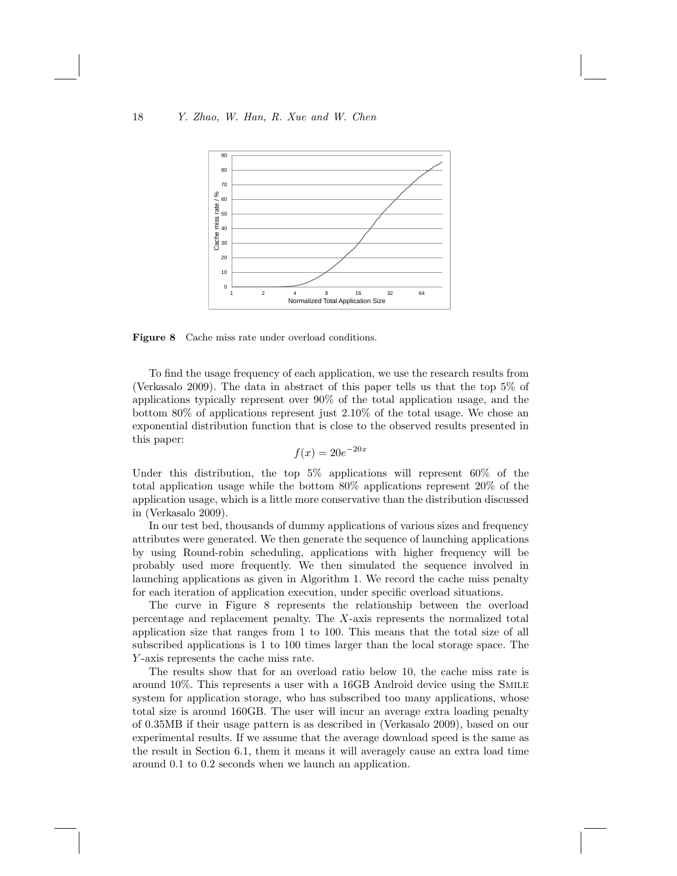

Figure 8 Cache miss rate under overload conditions.

To find the usage frequency of each application, we use the research results from (Verkasalo 2009). The data in abstract of this paper tells us that the top 5% of applications typically represent over 90% of the total application usage, and the bottom 80% of applications represent just 2.10% of the total usage. We chose an exponential distribution function that is close to the observed results presented in this paper:

$$
f(x) = 20e^{-20x}
$$

Under this distribution, the top 5% applications will represent 60% of the total application usage while the bottom 80% applications represent 20% of the application usage, which is a little more conservative than the distribution discussed in (Verkasalo 2009).

In our test bed, thousands of dummy applications of various sizes and frequency attributes were generated. We then generate the sequence of launching applications by using Round-robin scheduling, applications with higher frequency will be probably used more frequently. We then simulated the sequence involved in launching applications as given in Algorithm 1. We record the cache miss penalty for each iteration of application execution, under specific overload situations.

The curve in Figure 8 represents the relationship between the overload percentage and replacement penalty. The X-axis represents the normalized total application size that ranges from 1 to 100. This means that the total size of all subscribed applications is 1 to 100 times larger than the local storage space. The Y -axis represents the cache miss rate.

The results show that for an overload ratio below 10, the cache miss rate is around 10%. This represents a user with a 16GB Android device using the Smile system for application storage, who has subscribed too many applications, whose total size is around 160GB. The user will incur an average extra loading penalty of 0.35MB if their usage pattern is as described in (Verkasalo 2009), based on our experimental results. If we assume that the average download speed is the same as the result in Section 6.1, them it means it will averagely cause an extra load time around 0.1 to 0.2 seconds when we launch an application.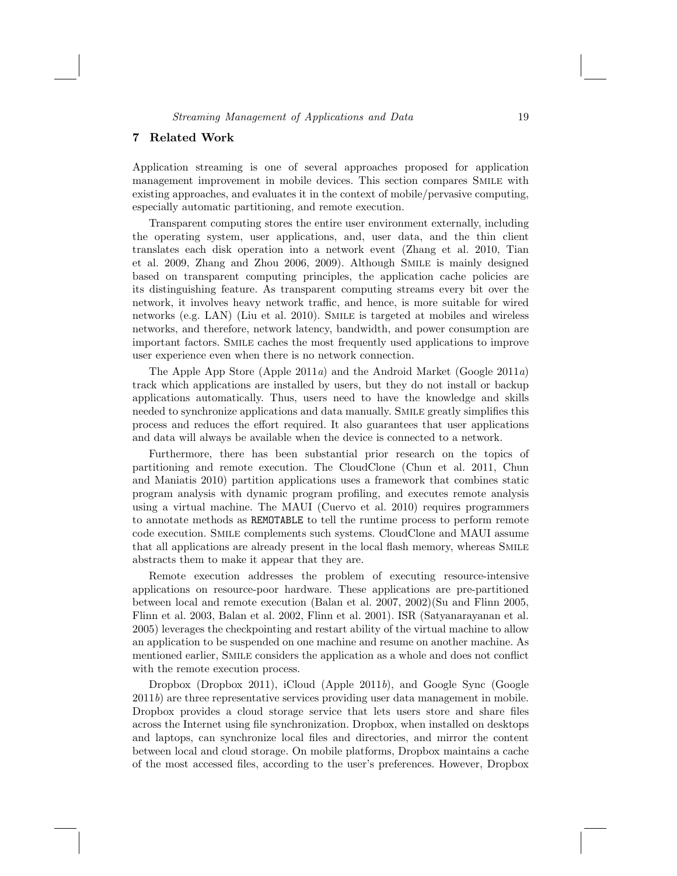### 7 Related Work

Application streaming is one of several approaches proposed for application management improvement in mobile devices. This section compares Smile with existing approaches, and evaluates it in the context of mobile/pervasive computing, especially automatic partitioning, and remote execution.

Transparent computing stores the entire user environment externally, including the operating system, user applications, and, user data, and the thin client translates each disk operation into a network event (Zhang et al. 2010, Tian et al. 2009, Zhang and Zhou 2006, 2009). Although Smile is mainly designed based on transparent computing principles, the application cache policies are its distinguishing feature. As transparent computing streams every bit over the network, it involves heavy network traffic, and hence, is more suitable for wired networks (e.g. LAN) (Liu et al. 2010). Smile is targeted at mobiles and wireless networks, and therefore, network latency, bandwidth, and power consumption are important factors. Smile caches the most frequently used applications to improve user experience even when there is no network connection.

The Apple App Store (Apple 2011a) and the Android Market (Google 2011a) track which applications are installed by users, but they do not install or backup applications automatically. Thus, users need to have the knowledge and skills needed to synchronize applications and data manually. Smile greatly simplifies this process and reduces the effort required. It also guarantees that user applications and data will always be available when the device is connected to a network.

Furthermore, there has been substantial prior research on the topics of partitioning and remote execution. The CloudClone (Chun et al. 2011, Chun and Maniatis 2010) partition applications uses a framework that combines static program analysis with dynamic program profiling, and executes remote analysis using a virtual machine. The MAUI (Cuervo et al. 2010) requires programmers to annotate methods as REMOTABLE to tell the runtime process to perform remote code execution. Smile complements such systems. CloudClone and MAUI assume that all applications are already present in the local flash memory, whereas Smile abstracts them to make it appear that they are.

Remote execution addresses the problem of executing resource-intensive applications on resource-poor hardware. These applications are pre-partitioned between local and remote execution (Balan et al. 2007, 2002)(Su and Flinn 2005, Flinn et al. 2003, Balan et al. 2002, Flinn et al. 2001). ISR (Satyanarayanan et al. 2005) leverages the checkpointing and restart ability of the virtual machine to allow an application to be suspended on one machine and resume on another machine. As mentioned earlier, Smile considers the application as a whole and does not conflict with the remote execution process.

Dropbox (Dropbox 2011), iCloud (Apple 2011b), and Google Sync (Google  $2011b$ ) are three representative services providing user data management in mobile. Dropbox provides a cloud storage service that lets users store and share files across the Internet using file synchronization. Dropbox, when installed on desktops and laptops, can synchronize local files and directories, and mirror the content between local and cloud storage. On mobile platforms, Dropbox maintains a cache of the most accessed files, according to the user's preferences. However, Dropbox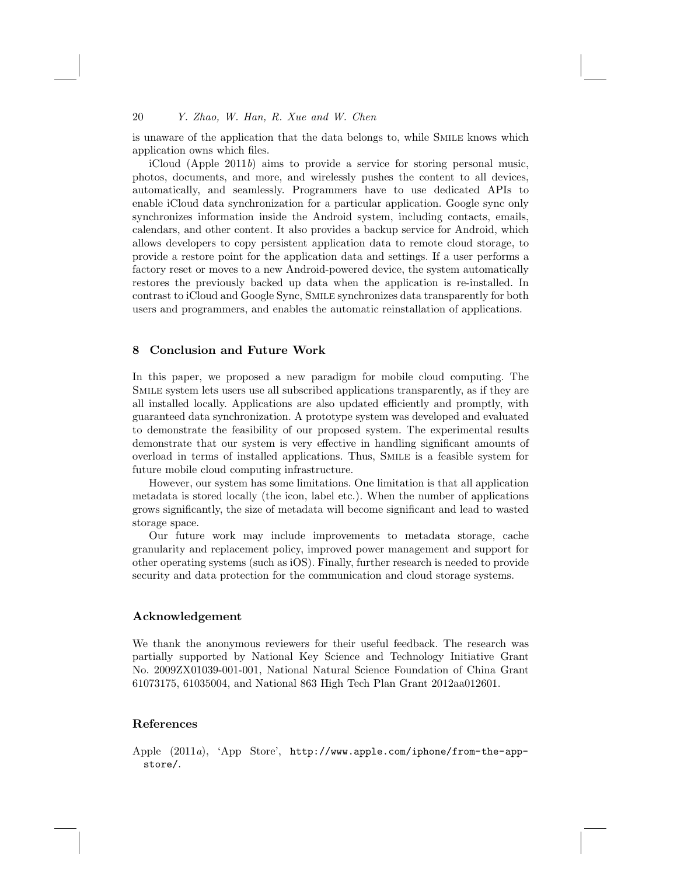is unaware of the application that the data belongs to, while Smile knows which application owns which files.

iCloud (Apple 2011b) aims to provide a service for storing personal music, photos, documents, and more, and wirelessly pushes the content to all devices, automatically, and seamlessly. Programmers have to use dedicated APIs to enable iCloud data synchronization for a particular application. Google sync only synchronizes information inside the Android system, including contacts, emails, calendars, and other content. It also provides a backup service for Android, which allows developers to copy persistent application data to remote cloud storage, to provide a restore point for the application data and settings. If a user performs a factory reset or moves to a new Android-powered device, the system automatically restores the previously backed up data when the application is re-installed. In contrast to iCloud and Google Sync, Smile synchronizes data transparently for both users and programmers, and enables the automatic reinstallation of applications.

#### 8 Conclusion and Future Work

In this paper, we proposed a new paradigm for mobile cloud computing. The Smile system lets users use all subscribed applications transparently, as if they are all installed locally. Applications are also updated efficiently and promptly, with guaranteed data synchronization. A prototype system was developed and evaluated to demonstrate the feasibility of our proposed system. The experimental results demonstrate that our system is very effective in handling significant amounts of overload in terms of installed applications. Thus, Smile is a feasible system for future mobile cloud computing infrastructure.

However, our system has some limitations. One limitation is that all application metadata is stored locally (the icon, label etc.). When the number of applications grows significantly, the size of metadata will become significant and lead to wasted storage space.

Our future work may include improvements to metadata storage, cache granularity and replacement policy, improved power management and support for other operating systems (such as iOS). Finally, further research is needed to provide security and data protection for the communication and cloud storage systems.

### Acknowledgement

We thank the anonymous reviewers for their useful feedback. The research was partially supported by National Key Science and Technology Initiative Grant No. 2009ZX01039-001-001, National Natural Science Foundation of China Grant 61073175, 61035004, and National 863 High Tech Plan Grant 2012aa012601.

### References

Apple (2011a), 'App Store', http://www.apple.com/iphone/from-the-appstore/.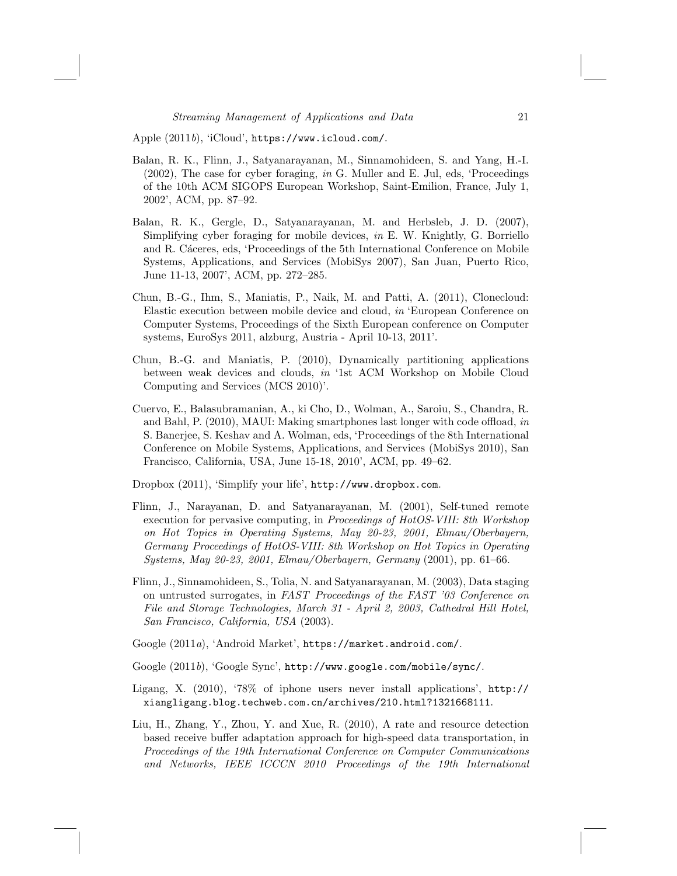Apple (2011b), 'iCloud', https://www.icloud.com/.

- Balan, R. K., Flinn, J., Satyanarayanan, M., Sinnamohideen, S. and Yang, H.-I. (2002), The case for cyber foraging, in G. Muller and E. Jul, eds, 'Proceedings of the 10th ACM SIGOPS European Workshop, Saint-Emilion, France, July 1, 2002', ACM, pp. 87–92.
- Balan, R. K., Gergle, D., Satyanarayanan, M. and Herbsleb, J. D. (2007), Simplifying cyber foraging for mobile devices, in E. W. Knightly, G. Borriello and R. Cáceres, eds, 'Proceedings of the 5th International Conference on Mobile Systems, Applications, and Services (MobiSys 2007), San Juan, Puerto Rico, June 11-13, 2007', ACM, pp. 272–285.
- Chun, B.-G., Ihm, S., Maniatis, P., Naik, M. and Patti, A. (2011), Clonecloud: Elastic execution between mobile device and cloud, in 'European Conference on Computer Systems, Proceedings of the Sixth European conference on Computer systems, EuroSys 2011, alzburg, Austria - April 10-13, 2011'.
- Chun, B.-G. and Maniatis, P. (2010), Dynamically partitioning applications between weak devices and clouds, in '1st ACM Workshop on Mobile Cloud Computing and Services (MCS 2010)'.
- Cuervo, E., Balasubramanian, A., ki Cho, D., Wolman, A., Saroiu, S., Chandra, R. and Bahl, P. (2010), MAUI: Making smartphones last longer with code offload, in S. Banerjee, S. Keshav and A. Wolman, eds, 'Proceedings of the 8th International Conference on Mobile Systems, Applications, and Services (MobiSys 2010), San Francisco, California, USA, June 15-18, 2010', ACM, pp. 49–62.
- Dropbox (2011), 'Simplify your life', http://www.dropbox.com.
- Flinn, J., Narayanan, D. and Satyanarayanan, M. (2001), Self-tuned remote execution for pervasive computing, in *Proceedings of HotOS-VIII: 8th Workshop* on Hot Topics in Operating Systems, May 20-23, 2001, Elmau/Oberbayern, Germany Proceedings of HotOS-VIII: 8th Workshop on Hot Topics in Operating Systems, May 20-23, 2001, Elmau/Oberbayern, Germany (2001), pp. 61–66.
- Flinn, J., Sinnamohideen, S., Tolia, N. and Satyanarayanan, M. (2003), Data staging on untrusted surrogates, in FAST Proceedings of the FAST '03 Conference on File and Storage Technologies, March 31 - April 2, 2003, Cathedral Hill Hotel, San Francisco, California, USA (2003).
- Google (2011a), 'Android Market', https://market.android.com/.
- Google (2011b), 'Google Sync', http://www.google.com/mobile/sync/.
- Ligang, X. (2010), '78% of iphone users never install applications', http:// xiangligang.blog.techweb.com.cn/archives/210.html?1321668111.
- Liu, H., Zhang, Y., Zhou, Y. and Xue, R. (2010), A rate and resource detection based receive buffer adaptation approach for high-speed data transportation, in Proceedings of the 19th International Conference on Computer Communications and Networks, IEEE ICCCN 2010 Proceedings of the 19th International